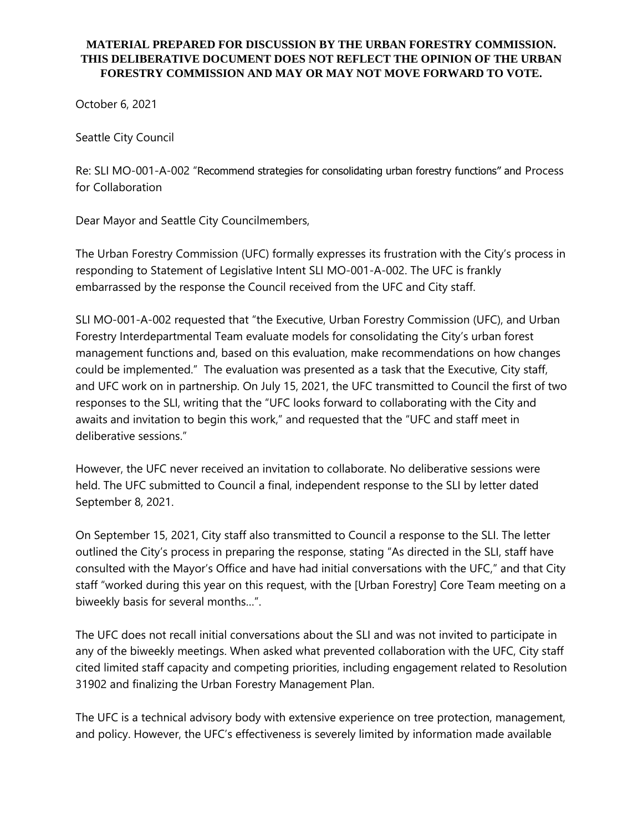## **MATERIAL PREPARED FOR DISCUSSION BY THE URBAN FORESTRY COMMISSION. THIS DELIBERATIVE DOCUMENT DOES NOT REFLECT THE OPINION OF THE URBAN FORESTRY COMMISSION AND MAY OR MAY NOT MOVE FORWARD TO VOTE.**

October 6, 2021

Seattle City Council

Re: SLI MO-001-A-002 "Recommend strategies for consolidating urban forestry functions" and Process for Collaboration

Dear Mayor and Seattle City Councilmembers,

The Urban Forestry Commission (UFC) formally expresses its frustration with the City's process in responding to Statement of Legislative Intent SLI MO-001-A-002. The UFC is frankly embarrassed by the response the Council received from the UFC and City staff.

SLI MO-001-A-002 requested that "the Executive, Urban Forestry Commission (UFC), and Urban Forestry Interdepartmental Team evaluate models for consolidating the City's urban forest management functions and, based on this evaluation, make recommendations on how changes could be implemented." The evaluation was presented as a task that the Executive, City staff, and UFC work on in partnership. On July 15, 2021, the UFC transmitted to Council the first of two responses to the SLI, writing that the "UFC looks forward to collaborating with the City and awaits and invitation to begin this work," and requested that the "UFC and staff meet in deliberative sessions."

However, the UFC never received an invitation to collaborate. No deliberative sessions were held. The UFC submitted to Council a final, independent response to the SLI by letter dated September 8, 2021.

On September 15, 2021, City staff also transmitted to Council a response to the SLI. The letter outlined the City's process in preparing the response, stating "As directed in the SLI, staff have consulted with the Mayor's Office and have had initial conversations with the UFC," and that City staff "worked during this year on this request, with the [Urban Forestry] Core Team meeting on a biweekly basis for several months…".

The UFC does not recall initial conversations about the SLI and was not invited to participate in any of the biweekly meetings. When asked what prevented collaboration with the UFC, City staff cited limited staff capacity and competing priorities, including engagement related to Resolution 31902 and finalizing the Urban Forestry Management Plan.

The UFC is a technical advisory body with extensive experience on tree protection, management, and policy. However, the UFC's effectiveness is severely limited by information made available